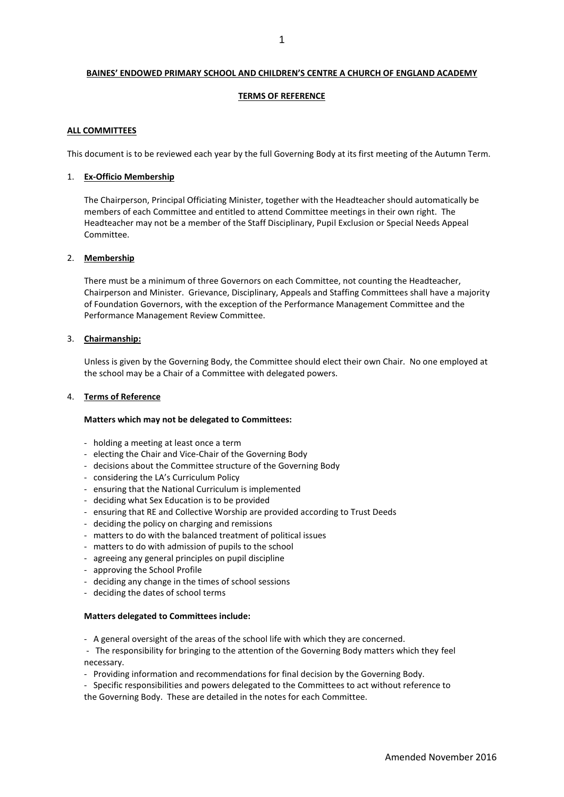## **BAINES' ENDOWED PRIMARY SCHOOL AND CHILDREN'S CENTRE A CHURCH OF ENGLAND ACADEMY**

# **TERMS OF REFERENCE**

# **ALL COMMITTEES**

This document is to be reviewed each year by the full Governing Body at its first meeting of the Autumn Term.

# 1. **Ex-Officio Membership**

The Chairperson, Principal Officiating Minister, together with the Headteacher should automatically be members of each Committee and entitled to attend Committee meetings in their own right. The Headteacher may not be a member of the Staff Disciplinary, Pupil Exclusion or Special Needs Appeal Committee.

### 2. **Membership**

There must be a minimum of three Governors on each Committee, not counting the Headteacher, Chairperson and Minister. Grievance, Disciplinary, Appeals and Staffing Committees shall have a majority of Foundation Governors, with the exception of the Performance Management Committee and the Performance Management Review Committee.

# 3. **Chairmanship:**

Unless is given by the Governing Body, the Committee should elect their own Chair. No one employed at the school may be a Chair of a Committee with delegated powers.

# 4. **Terms of Reference**

### **Matters which may not be delegated to Committees:**

- holding a meeting at least once a term
- electing the Chair and Vice-Chair of the Governing Body
- decisions about the Committee structure of the Governing Body
- considering the LA's Curriculum Policy
- ensuring that the National Curriculum is implemented
- deciding what Sex Education is to be provided
- ensuring that RE and Collective Worship are provided according to Trust Deeds
- deciding the policy on charging and remissions
- matters to do with the balanced treatment of political issues
- matters to do with admission of pupils to the school
- agreeing any general principles on pupil discipline
- approving the School Profile
- deciding any change in the times of school sessions
- deciding the dates of school terms

### **Matters delegated to Committees include:**

- A general oversight of the areas of the school life with which they are concerned.

- The responsibility for bringing to the attention of the Governing Body matters which they feel necessary.

- Providing information and recommendations for final decision by the Governing Body.

- Specific responsibilities and powers delegated to the Committees to act without reference to the Governing Body. These are detailed in the notes for each Committee.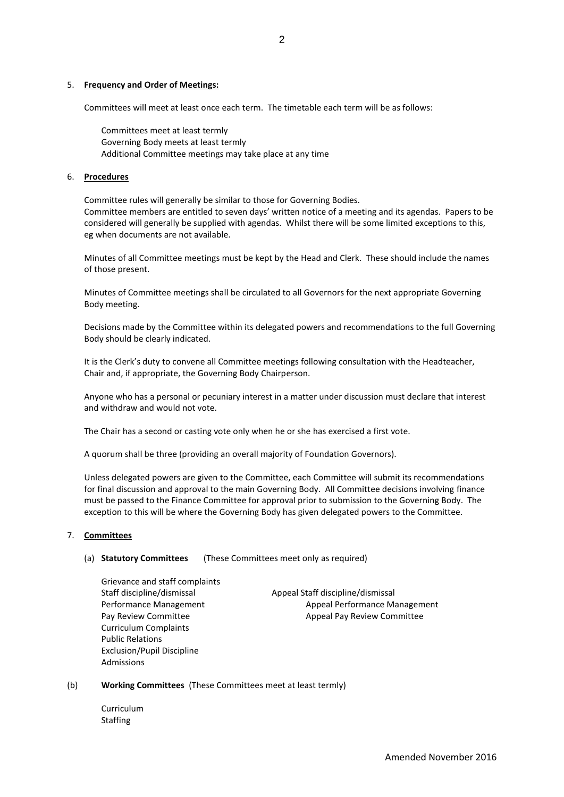# 5. **Frequency and Order of Meetings:**

Committees will meet at least once each term. The timetable each term will be as follows:

Committees meet at least termly Governing Body meets at least termly Additional Committee meetings may take place at any time

# 6. **Procedures**

Committee rules will generally be similar to those for Governing Bodies. Committee members are entitled to seven days' written notice of a meeting and its agendas. Papers to be considered will generally be supplied with agendas. Whilst there will be some limited exceptions to this, eg when documents are not available.

Minutes of all Committee meetings must be kept by the Head and Clerk. These should include the names of those present.

Minutes of Committee meetings shall be circulated to all Governors for the next appropriate Governing Body meeting.

Decisions made by the Committee within its delegated powers and recommendations to the full Governing Body should be clearly indicated.

It is the Clerk's duty to convene all Committee meetings following consultation with the Headteacher, Chair and, if appropriate, the Governing Body Chairperson.

Anyone who has a personal or pecuniary interest in a matter under discussion must declare that interest and withdraw and would not vote.

The Chair has a second or casting vote only when he or she has exercised a first vote.

A quorum shall be three (providing an overall majority of Foundation Governors).

Unless delegated powers are given to the Committee, each Committee will submit its recommendations for final discussion and approval to the main Governing Body. All Committee decisions involving finance must be passed to the Finance Committee for approval prior to submission to the Governing Body. The exception to this will be where the Governing Body has given delegated powers to the Committee.

# 7. **Committees**

(a) **Statutory Committees** (These Committees meet only as required)

Grievance and staff complaints Curriculum Complaints Public Relations Exclusion/Pupil Discipline Admissions

Staff discipline/dismissal Appeal Staff discipline/dismissal Performance Management **Appeal Performance Management** Pay Review Committee Appeal Pay Review Committee

### (b) **Working Committees** (These Committees meet at least termly)

Curriculum Staffing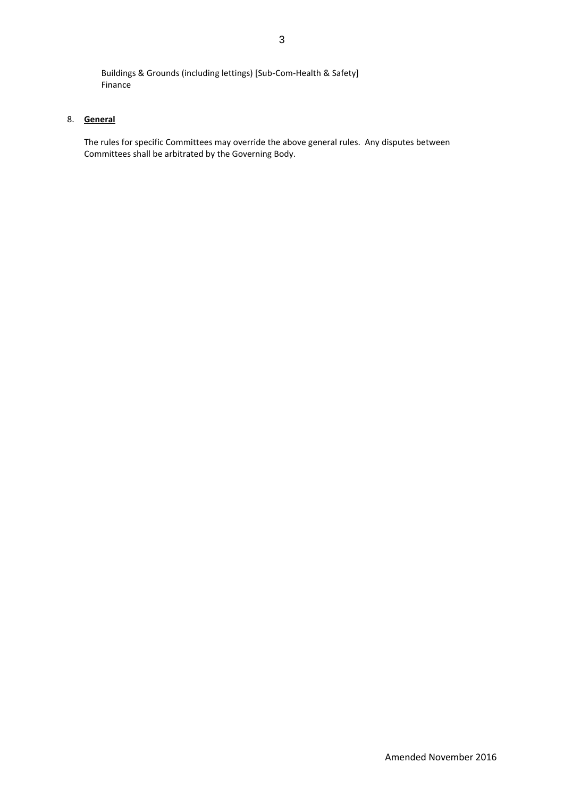Buildings & Grounds (including lettings) [Sub-Com-Health & Safety] Finance

# 8. **General**

The rules for specific Committees may override the above general rules. Any disputes between Committees shall be arbitrated by the Governing Body.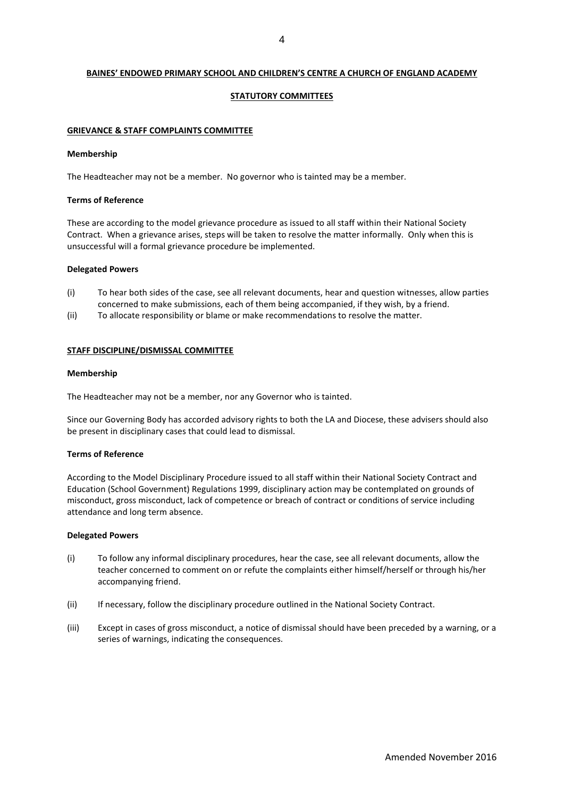# **BAINES' ENDOWED PRIMARY SCHOOL AND CHILDREN'S CENTRE A CHURCH OF ENGLAND ACADEMY**

# **STATUTORY COMMITTEES**

### **GRIEVANCE & STAFF COMPLAINTS COMMITTEE**

#### **Membership**

The Headteacher may not be a member. No governor who is tainted may be a member.

### **Terms of Reference**

These are according to the model grievance procedure as issued to all staff within their National Society Contract. When a grievance arises, steps will be taken to resolve the matter informally. Only when this is unsuccessful will a formal grievance procedure be implemented.

### **Delegated Powers**

- (i) To hear both sides of the case, see all relevant documents, hear and question witnesses, allow parties concerned to make submissions, each of them being accompanied, if they wish, by a friend.
- (ii) To allocate responsibility or blame or make recommendations to resolve the matter.

### **STAFF DISCIPLINE/DISMISSAL COMMITTEE**

### **Membership**

The Headteacher may not be a member, nor any Governor who is tainted.

Since our Governing Body has accorded advisory rights to both the LA and Diocese, these advisers should also be present in disciplinary cases that could lead to dismissal.

# **Terms of Reference**

According to the Model Disciplinary Procedure issued to all staff within their National Society Contract and Education (School Government) Regulations 1999, disciplinary action may be contemplated on grounds of misconduct, gross misconduct, lack of competence or breach of contract or conditions of service including attendance and long term absence.

#### **Delegated Powers**

- (i) To follow any informal disciplinary procedures, hear the case, see all relevant documents, allow the teacher concerned to comment on or refute the complaints either himself/herself or through his/her accompanying friend.
- (ii) If necessary, follow the disciplinary procedure outlined in the National Society Contract.
- (iii) Except in cases of gross misconduct, a notice of dismissal should have been preceded by a warning, or a series of warnings, indicating the consequences.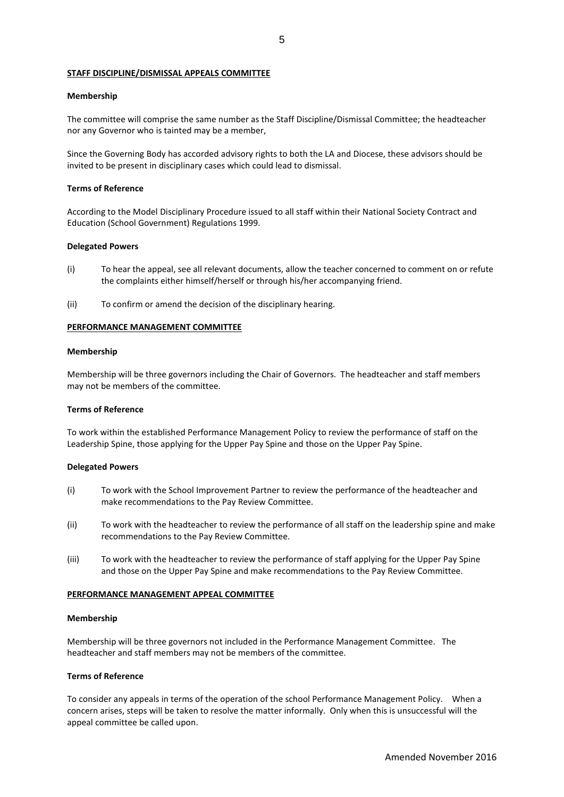### **STAFF DISCIPLINE/DISMISSAL APPEALS COMMITTEE**

### **Membership**

The committee will comprise the same number as the Staff Discipline/Dismissal Committee; the headteacher nor any Governor who is tainted may be a member,

Since the Governing Body has accorded advisory rights to both the LA and Diocese, these advisors should be invited to be present in disciplinary cases which could lead to dismissal.

### **Terms of Reference**

According to the Model Disciplinary Procedure issued to all staff within their National Society Contract and Education (School Government) Regulations 1999.

#### **Delegated Powers**

- (i) To hear the appeal, see all relevant documents, allow the teacher concerned to comment on or refute the complaints either himself/herself or through his/her accompanying friend.
- (ii) To confirm or amend the decision of the disciplinary hearing.

#### **PERFORMANCE MANAGEMENT COMMITTEE**

#### **Membership**

Membership will be three governors including the Chair of Governors. The headteacher and staff members may not be members of the committee.

## **Terms of Reference**

To work within the established Performance Management Policy to review the performance of staff on the Leadership Spine, those applying for the Upper Pay Spine and those on the Upper Pay Spine.

# **Delegated Powers**

- (i) To work with the School Improvement Partner to review the performance of the headteacher and make recommendations to the Pay Review Committee.
- (ii) To work with the headteacher to review the performance of all staff on the leadership spine and make recommendations to the Pay Review Committee.
- (iii) To work with the headteacher to review the performance of staff applying for the Upper Pay Spine and those on the Upper Pay Spine and make recommendations to the Pay Review Committee.

#### **PERFORMANCE MANAGEMENT APPEAL COMMITTEE**

#### **Membership**

Membership will be three governors not included in the Performance Management Committee. The headteacher and staff members may not be members of the committee.

### **Terms of Reference**

To consider any appeals in terms of the operation of the school Performance Management Policy. When a concern arises, steps will be taken to resolve the matter informally. Only when this is unsuccessful will the appeal committee be called upon.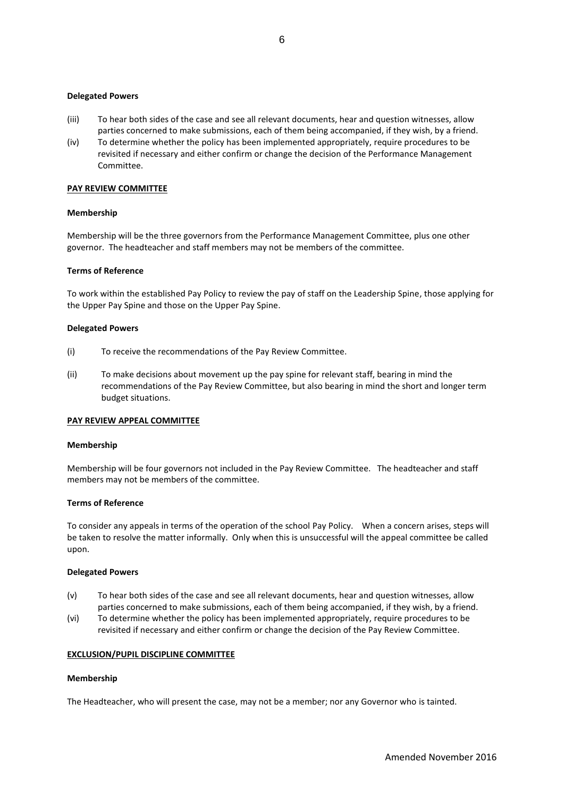### **Delegated Powers**

- (iii) To hear both sides of the case and see all relevant documents, hear and question witnesses, allow parties concerned to make submissions, each of them being accompanied, if they wish, by a friend.
- (iv) To determine whether the policy has been implemented appropriately, require procedures to be revisited if necessary and either confirm or change the decision of the Performance Management Committee.

### **PAY REVIEW COMMITTEE**

### **Membership**

Membership will be the three governors from the Performance Management Committee, plus one other governor. The headteacher and staff members may not be members of the committee.

### **Terms of Reference**

To work within the established Pay Policy to review the pay of staff on the Leadership Spine, those applying for the Upper Pay Spine and those on the Upper Pay Spine.

#### **Delegated Powers**

- (i) To receive the recommendations of the Pay Review Committee.
- (ii) To make decisions about movement up the pay spine for relevant staff, bearing in mind the recommendations of the Pay Review Committee, but also bearing in mind the short and longer term budget situations.

# **PAY REVIEW APPEAL COMMITTEE**

#### **Membership**

Membership will be four governors not included in the Pay Review Committee. The headteacher and staff members may not be members of the committee.

# **Terms of Reference**

To consider any appeals in terms of the operation of the school Pay Policy. When a concern arises, steps will be taken to resolve the matter informally. Only when this is unsuccessful will the appeal committee be called upon.

#### **Delegated Powers**

- (v) To hear both sides of the case and see all relevant documents, hear and question witnesses, allow parties concerned to make submissions, each of them being accompanied, if they wish, by a friend.
- (vi) To determine whether the policy has been implemented appropriately, require procedures to be revisited if necessary and either confirm or change the decision of the Pay Review Committee.

#### **EXCLUSION/PUPIL DISCIPLINE COMMITTEE**

#### **Membership**

The Headteacher, who will present the case, may not be a member; nor any Governor who is tainted.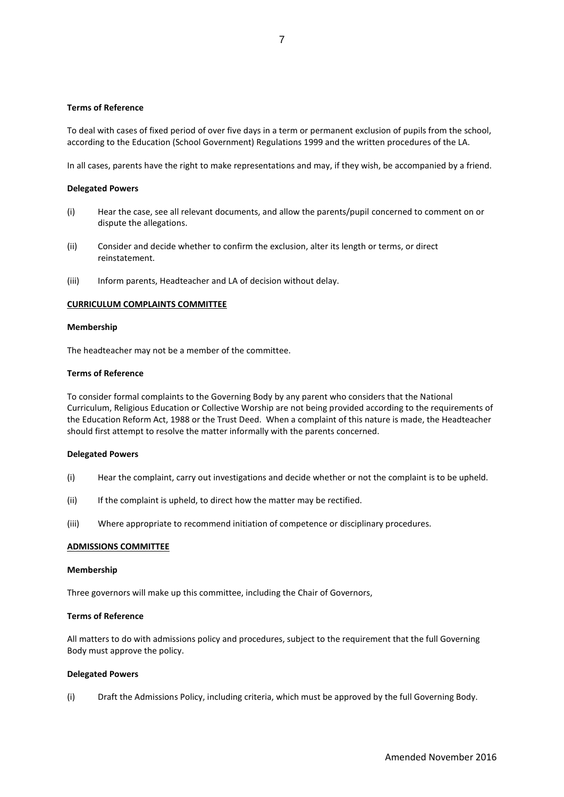# **Terms of Reference**

To deal with cases of fixed period of over five days in a term or permanent exclusion of pupils from the school, according to the Education (School Government) Regulations 1999 and the written procedures of the LA.

In all cases, parents have the right to make representations and may, if they wish, be accompanied by a friend.

### **Delegated Powers**

- (i) Hear the case, see all relevant documents, and allow the parents/pupil concerned to comment on or dispute the allegations.
- (ii) Consider and decide whether to confirm the exclusion, alter its length or terms, or direct reinstatement.
- (iii) Inform parents, Headteacher and LA of decision without delay.

### **CURRICULUM COMPLAINTS COMMITTEE**

# **Membership**

The headteacher may not be a member of the committee.

### **Terms of Reference**

To consider formal complaints to the Governing Body by any parent who considers that the National Curriculum, Religious Education or Collective Worship are not being provided according to the requirements of the Education Reform Act, 1988 or the Trust Deed. When a complaint of this nature is made, the Headteacher should first attempt to resolve the matter informally with the parents concerned.

### **Delegated Powers**

- (i) Hear the complaint, carry out investigations and decide whether or not the complaint is to be upheld.
- (ii) If the complaint is upheld, to direct how the matter may be rectified.
- (iii) Where appropriate to recommend initiation of competence or disciplinary procedures.

### **ADMISSIONS COMMITTEE**

#### **Membership**

Three governors will make up this committee, including the Chair of Governors,

# **Terms of Reference**

All matters to do with admissions policy and procedures, subject to the requirement that the full Governing Body must approve the policy.

#### **Delegated Powers**

(i) Draft the Admissions Policy, including criteria, which must be approved by the full Governing Body.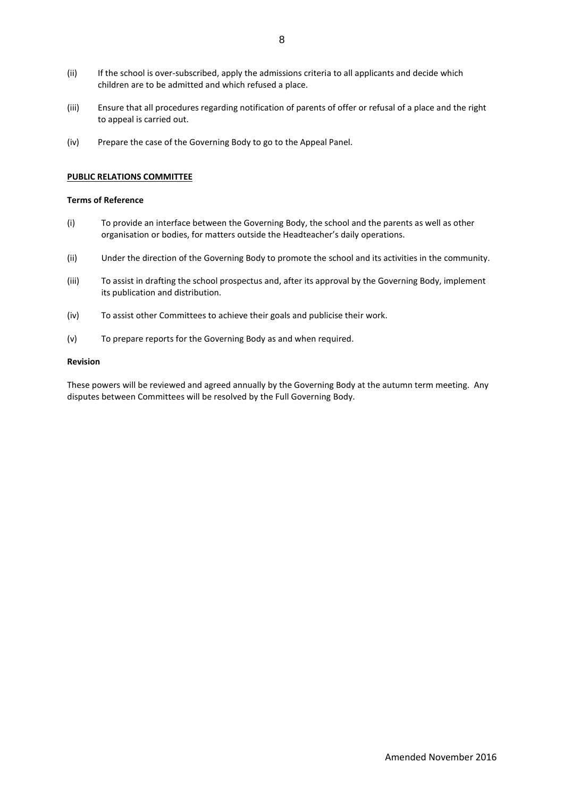- (ii) If the school is over-subscribed, apply the admissions criteria to all applicants and decide which children are to be admitted and which refused a place.
- (iii) Ensure that all procedures regarding notification of parents of offer or refusal of a place and the right to appeal is carried out.
- (iv) Prepare the case of the Governing Body to go to the Appeal Panel.

### **PUBLIC RELATIONS COMMITTEE**

# **Terms of Reference**

- (i) To provide an interface between the Governing Body, the school and the parents as well as other organisation or bodies, for matters outside the Headteacher's daily operations.
- (ii) Under the direction of the Governing Body to promote the school and its activities in the community.
- (iii) To assist in drafting the school prospectus and, after its approval by the Governing Body, implement its publication and distribution.
- (iv) To assist other Committees to achieve their goals and publicise their work.
- (v) To prepare reports for the Governing Body as and when required.

### **Revision**

These powers will be reviewed and agreed annually by the Governing Body at the autumn term meeting. Any disputes between Committees will be resolved by the Full Governing Body.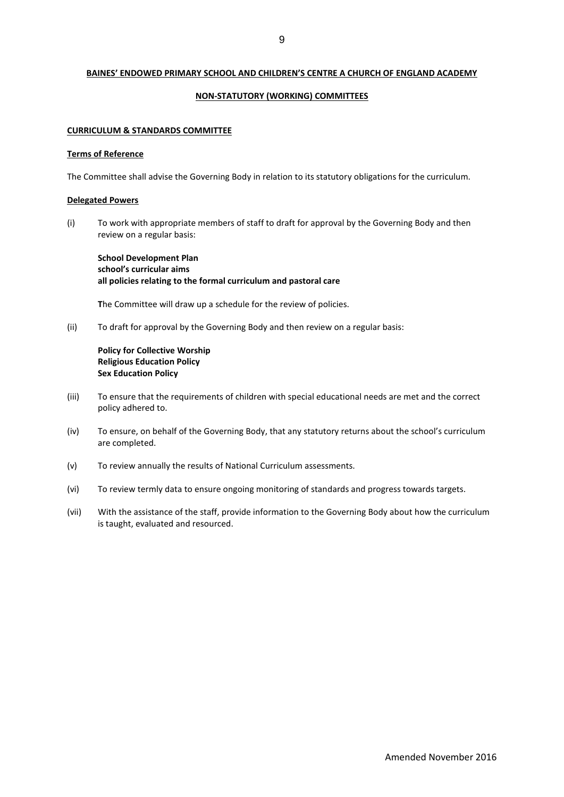# **BAINES' ENDOWED PRIMARY SCHOOL AND CHILDREN'S CENTRE A CHURCH OF ENGLAND ACADEMY**

### **NON-STATUTORY (WORKING) COMMITTEES**

### **CURRICULUM & STANDARDS COMMITTEE**

#### **Terms of Reference**

The Committee shall advise the Governing Body in relation to its statutory obligations for the curriculum.

### **Delegated Powers**

(i) To work with appropriate members of staff to draft for approval by the Governing Body and then review on a regular basis:

**School Development Plan school's curricular aims all policies relating to the formal curriculum and pastoral care**

**T**he Committee will draw up a schedule for the review of policies.

(ii) To draft for approval by the Governing Body and then review on a regular basis:

# **Policy for Collective Worship Religious Education Policy Sex Education Policy**

- (iii) To ensure that the requirements of children with special educational needs are met and the correct policy adhered to.
- (iv) To ensure, on behalf of the Governing Body, that any statutory returns about the school's curriculum are completed.
- (v) To review annually the results of National Curriculum assessments.
- (vi) To review termly data to ensure ongoing monitoring of standards and progress towards targets.
- (vii) With the assistance of the staff, provide information to the Governing Body about how the curriculum is taught, evaluated and resourced.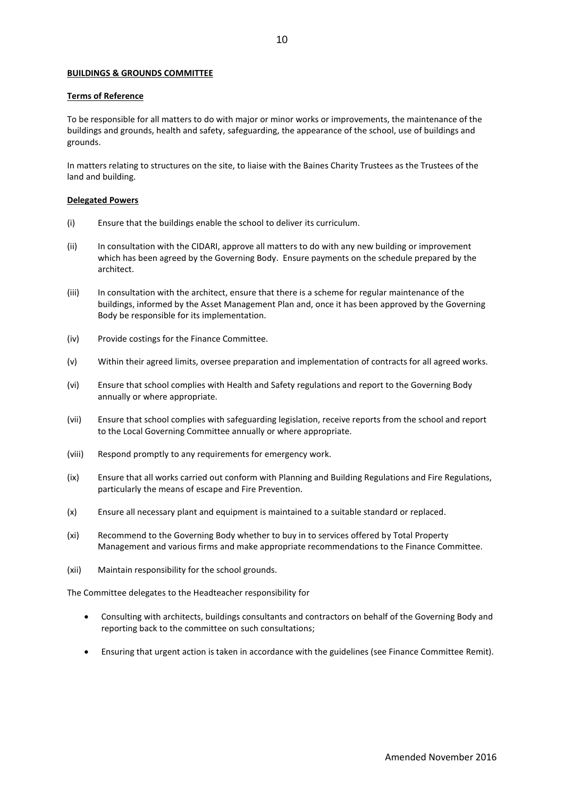# **BUILDINGS & GROUNDS COMMITTEE**

### **Terms of Reference**

To be responsible for all matters to do with major or minor works or improvements, the maintenance of the buildings and grounds, health and safety, safeguarding, the appearance of the school, use of buildings and grounds.

In matters relating to structures on the site, to liaise with the Baines Charity Trustees as the Trustees of the land and building.

### **Delegated Powers**

- (i) Ensure that the buildings enable the school to deliver its curriculum.
- (ii) In consultation with the CIDARI, approve all matters to do with any new building or improvement which has been agreed by the Governing Body. Ensure payments on the schedule prepared by the architect.
- (iii) In consultation with the architect, ensure that there is a scheme for regular maintenance of the buildings, informed by the Asset Management Plan and, once it has been approved by the Governing Body be responsible for its implementation.
- (iv) Provide costings for the Finance Committee.
- (v) Within their agreed limits, oversee preparation and implementation of contracts for all agreed works.
- (vi) Ensure that school complies with Health and Safety regulations and report to the Governing Body annually or where appropriate.
- (vii) Ensure that school complies with safeguarding legislation, receive reports from the school and report to the Local Governing Committee annually or where appropriate.
- (viii) Respond promptly to any requirements for emergency work.
- (ix) Ensure that all works carried out conform with Planning and Building Regulations and Fire Regulations, particularly the means of escape and Fire Prevention.
- (x) Ensure all necessary plant and equipment is maintained to a suitable standard or replaced.
- (xi) Recommend to the Governing Body whether to buy in to services offered by Total Property Management and various firms and make appropriate recommendations to the Finance Committee.
- (xii) Maintain responsibility for the school grounds.

The Committee delegates to the Headteacher responsibility for

- Consulting with architects, buildings consultants and contractors on behalf of the Governing Body and reporting back to the committee on such consultations;
- Ensuring that urgent action is taken in accordance with the guidelines (see Finance Committee Remit).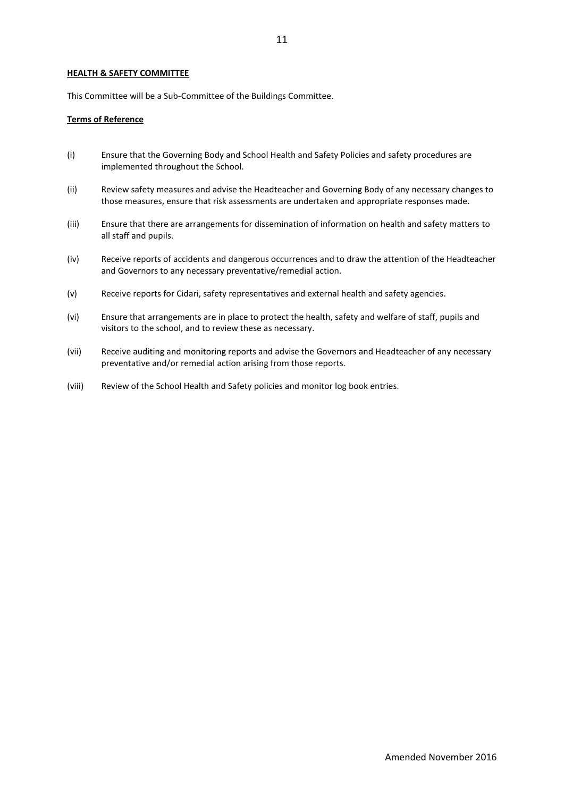11

## **HEALTH & SAFETY COMMITTEE**

This Committee will be a Sub-Committee of the Buildings Committee.

# **Terms of Reference**

- (i) Ensure that the Governing Body and School Health and Safety Policies and safety procedures are implemented throughout the School.
- (ii) Review safety measures and advise the Headteacher and Governing Body of any necessary changes to those measures, ensure that risk assessments are undertaken and appropriate responses made.
- (iii) Ensure that there are arrangements for dissemination of information on health and safety matters to all staff and pupils.
- (iv) Receive reports of accidents and dangerous occurrences and to draw the attention of the Headteacher and Governors to any necessary preventative/remedial action.
- (v) Receive reports for Cidari, safety representatives and external health and safety agencies.
- (vi) Ensure that arrangements are in place to protect the health, safety and welfare of staff, pupils and visitors to the school, and to review these as necessary.
- (vii) Receive auditing and monitoring reports and advise the Governors and Headteacher of any necessary preventative and/or remedial action arising from those reports.
- (viii) Review of the School Health and Safety policies and monitor log book entries.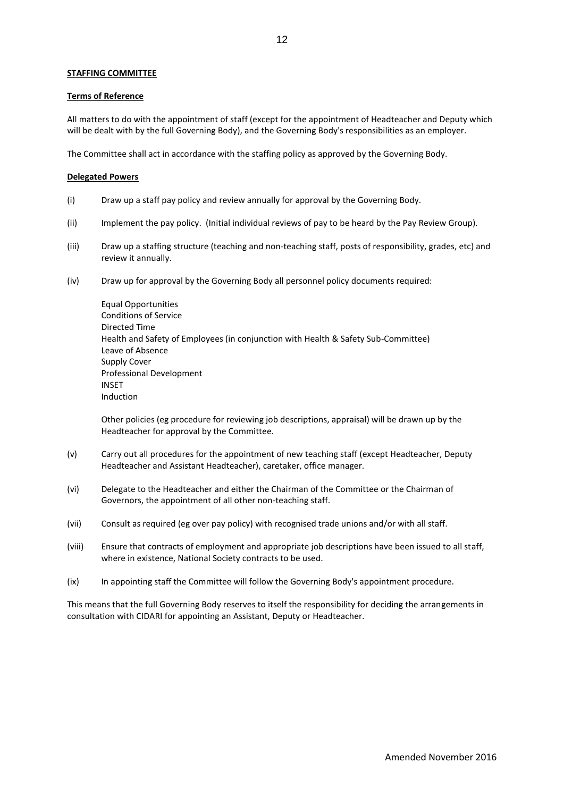# **STAFFING COMMITTEE**

### **Terms of Reference**

All matters to do with the appointment of staff (except for the appointment of Headteacher and Deputy which will be dealt with by the full Governing Body), and the Governing Body's responsibilities as an employer.

The Committee shall act in accordance with the staffing policy as approved by the Governing Body.

### **Delegated Powers**

- (i) Draw up a staff pay policy and review annually for approval by the Governing Body.
- (ii) Implement the pay policy. (Initial individual reviews of pay to be heard by the Pay Review Group).
- (iii) Draw up a staffing structure (teaching and non-teaching staff, posts of responsibility, grades, etc) and review it annually.
- (iv) Draw up for approval by the Governing Body all personnel policy documents required:

Equal Opportunities Conditions of Service Directed Time Health and Safety of Employees (in conjunction with Health & Safety Sub-Committee) Leave of Absence Supply Cover Professional Development INSET Induction

Other policies (eg procedure for reviewing job descriptions, appraisal) will be drawn up by the Headteacher for approval by the Committee.

- (v) Carry out all procedures for the appointment of new teaching staff (except Headteacher, Deputy Headteacher and Assistant Headteacher), caretaker, office manager.
- (vi) Delegate to the Headteacher and either the Chairman of the Committee or the Chairman of Governors, the appointment of all other non-teaching staff.
- (vii) Consult as required (eg over pay policy) with recognised trade unions and/or with all staff.
- (viii) Ensure that contracts of employment and appropriate job descriptions have been issued to all staff, where in existence, National Society contracts to be used.
- (ix) In appointing staff the Committee will follow the Governing Body's appointment procedure.

This means that the full Governing Body reserves to itself the responsibility for deciding the arrangements in consultation with CIDARI for appointing an Assistant, Deputy or Headteacher.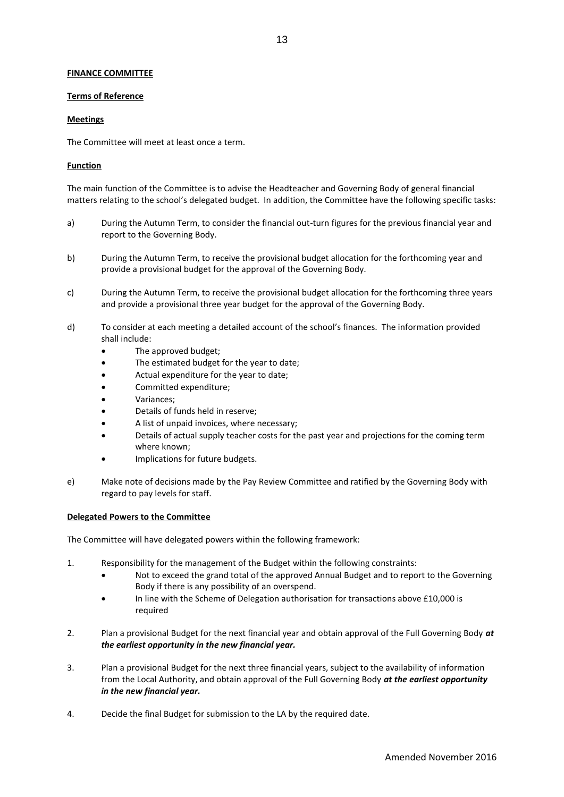# **FINANCE COMMITTEE**

## **Terms of Reference**

# **Meetings**

The Committee will meet at least once a term.

# **Function**

The main function of the Committee is to advise the Headteacher and Governing Body of general financial matters relating to the school's delegated budget. In addition, the Committee have the following specific tasks:

- a) During the Autumn Term, to consider the financial out-turn figures for the previous financial year and report to the Governing Body.
- b) During the Autumn Term, to receive the provisional budget allocation for the forthcoming year and provide a provisional budget for the approval of the Governing Body.
- c) During the Autumn Term, to receive the provisional budget allocation for the forthcoming three years and provide a provisional three year budget for the approval of the Governing Body.
- d) To consider at each meeting a detailed account of the school's finances. The information provided shall include:
	- The approved budget;
	- The estimated budget for the year to date;
	- Actual expenditure for the year to date;
	- Committed expenditure;
	- Variances;
	- Details of funds held in reserve;
	- A list of unpaid invoices, where necessary;
	- Details of actual supply teacher costs for the past year and projections for the coming term where known;
	- Implications for future budgets.
- e) Make note of decisions made by the Pay Review Committee and ratified by the Governing Body with regard to pay levels for staff.

# **Delegated Powers to the Committee**

The Committee will have delegated powers within the following framework:

- 1. Responsibility for the management of the Budget within the following constraints:
	- Not to exceed the grand total of the approved Annual Budget and to report to the Governing Body if there is any possibility of an overspend.
	- In line with the Scheme of Delegation authorisation for transactions above £10,000 is required
- 2. Plan a provisional Budget for the next financial year and obtain approval of the Full Governing Body *at the earliest opportunity in the new financial year.*
- 3. Plan a provisional Budget for the next three financial years, subject to the availability of information from the Local Authority, and obtain approval of the Full Governing Body *at the earliest opportunity in the new financial year.*
- 4. Decide the final Budget for submission to the LA by the required date.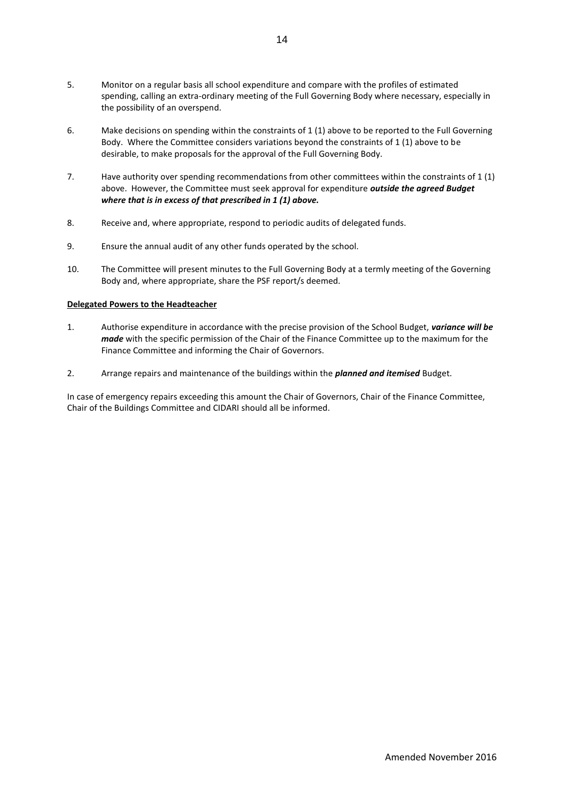- 5. Monitor on a regular basis all school expenditure and compare with the profiles of estimated spending, calling an extra-ordinary meeting of the Full Governing Body where necessary, especially in the possibility of an overspend.
- 6. Make decisions on spending within the constraints of 1 (1) above to be reported to the Full Governing Body. Where the Committee considers variations beyond the constraints of 1 (1) above to be desirable, to make proposals for the approval of the Full Governing Body.
- 7. Have authority over spending recommendations from other committees within the constraints of 1 (1) above. However, the Committee must seek approval for expenditure *outside the agreed Budget where that is in excess of that prescribed in 1 (1) above.*
- 8. Receive and, where appropriate, respond to periodic audits of delegated funds.
- 9. Ensure the annual audit of any other funds operated by the school.
- 10. The Committee will present minutes to the Full Governing Body at a termly meeting of the Governing Body and, where appropriate, share the PSF report/s deemed.

# **Delegated Powers to the Headteacher**

- 1. Authorise expenditure in accordance with the precise provision of the School Budget, *variance will be made* with the specific permission of the Chair of the Finance Committee up to the maximum for the Finance Committee and informing the Chair of Governors.
- 2. Arrange repairs and maintenance of the buildings within the *planned and itemised* Budget.

In case of emergency repairs exceeding this amount the Chair of Governors, Chair of the Finance Committee, Chair of the Buildings Committee and CIDARI should all be informed.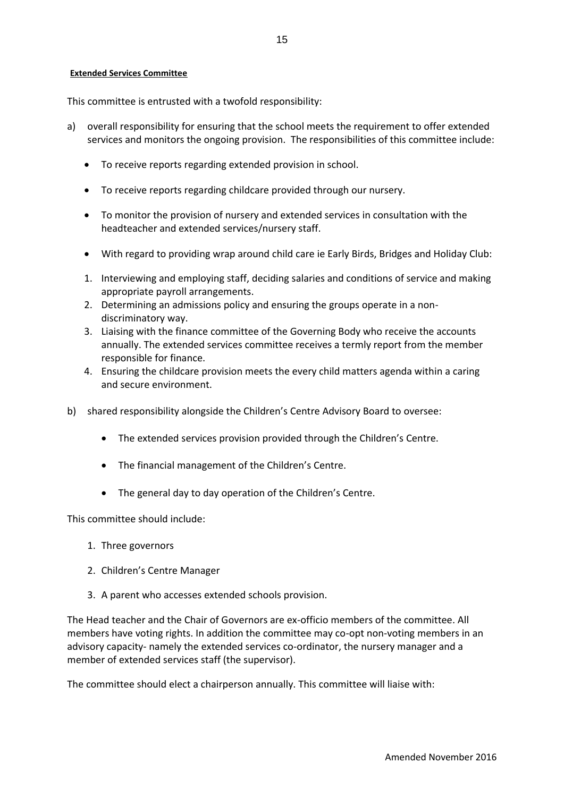# **Extended Services Committee**

This committee is entrusted with a twofold responsibility:

- a) overall responsibility for ensuring that the school meets the requirement to offer extended services and monitors the ongoing provision. The responsibilities of this committee include:
	- To receive reports regarding extended provision in school.
	- To receive reports regarding childcare provided through our nursery.
	- To monitor the provision of nursery and extended services in consultation with the headteacher and extended services/nursery staff.
	- With regard to providing wrap around child care ie Early Birds, Bridges and Holiday Club:
	- 1. Interviewing and employing staff, deciding salaries and conditions of service and making appropriate payroll arrangements.
	- 2. Determining an admissions policy and ensuring the groups operate in a nondiscriminatory way.
	- 3. Liaising with the finance committee of the Governing Body who receive the accounts annually. The extended services committee receives a termly report from the member responsible for finance.
	- 4. Ensuring the childcare provision meets the every child matters agenda within a caring and secure environment.
- b) shared responsibility alongside the Children's Centre Advisory Board to oversee:
	- The extended services provision provided through the Children's Centre.
	- The financial management of the Children's Centre.
	- The general day to day operation of the Children's Centre.

This committee should include:

- 1. Three governors
- 2. Children's Centre Manager
- 3. A parent who accesses extended schools provision.

The Head teacher and the Chair of Governors are ex-officio members of the committee. All members have voting rights. In addition the committee may co-opt non-voting members in an advisory capacity- namely the extended services co-ordinator, the nursery manager and a member of extended services staff (the supervisor).

The committee should elect a chairperson annually. This committee will liaise with: